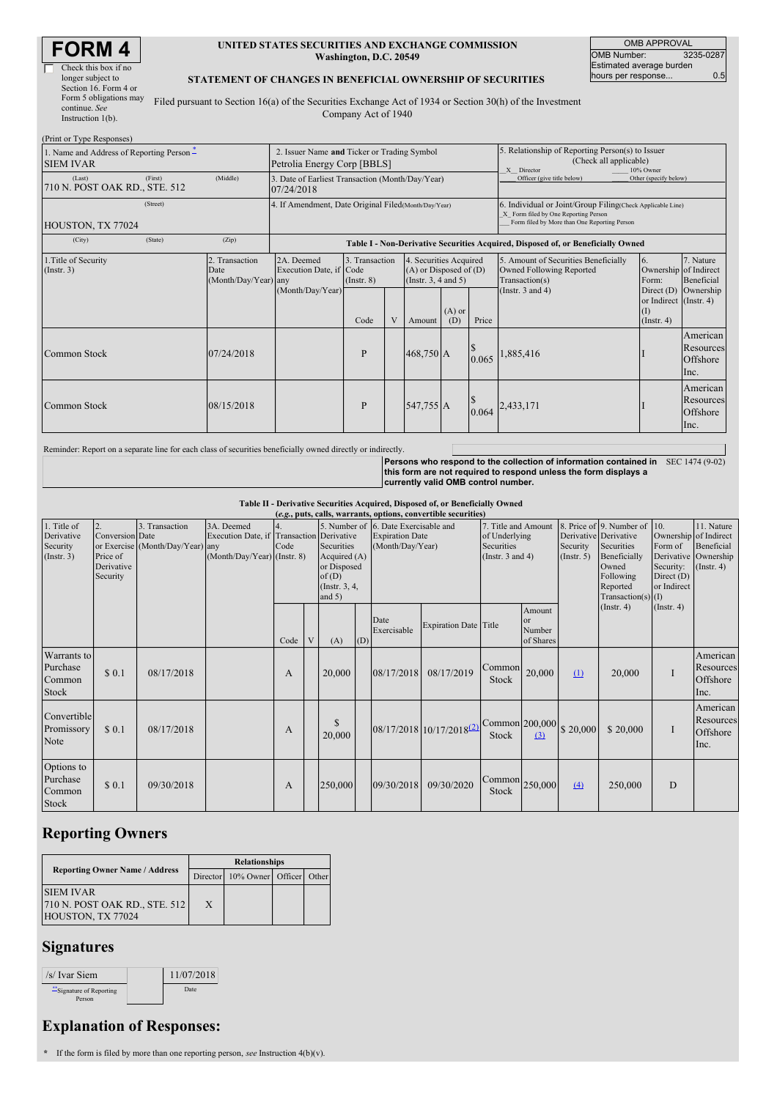| RM                   |  |
|----------------------|--|
| Check this box if no |  |

#### **UNITED STATES SECURITIES AND EXCHANGE COMMISSION Washington, D.C. 20549**

OMB APPROVAL OMB Number: 3235-0287 Estimated average burden hours per response... 0.5

### **STATEMENT OF CHANGES IN BENEFICIAL OWNERSHIP OF SECURITIES**

Filed pursuant to Section 16(a) of the Securities Exchange Act of 1934 or Section 30(h) of the Investment Company Act of 1940

| (Print or Type Responses)                                     |                                                                            |                                                |                                                                |                                           |   |                                                                                            |                                                                                                       |                            |                                                                                                                                                    |                                                                                                      |                                                 |  |
|---------------------------------------------------------------|----------------------------------------------------------------------------|------------------------------------------------|----------------------------------------------------------------|-------------------------------------------|---|--------------------------------------------------------------------------------------------|-------------------------------------------------------------------------------------------------------|----------------------------|----------------------------------------------------------------------------------------------------------------------------------------------------|------------------------------------------------------------------------------------------------------|-------------------------------------------------|--|
| 1. Name and Address of Reporting Person –<br><b>SIEM IVAR</b> | 2. Issuer Name and Ticker or Trading Symbol<br>Petrolia Energy Corp [BBLS] |                                                |                                                                |                                           |   |                                                                                            | 5. Relationship of Reporting Person(s) to Issuer<br>(Check all applicable)<br>10% Owner<br>X Director |                            |                                                                                                                                                    |                                                                                                      |                                                 |  |
| (Last)<br>710 N. POST OAK RD., STE. 512                       | (First)                                                                    | (Middle)                                       | 3. Date of Earliest Transaction (Month/Day/Year)<br>07/24/2018 |                                           |   |                                                                                            |                                                                                                       | Officer (give title below) | Other (specify below)                                                                                                                              |                                                                                                      |                                                 |  |
| HOUSTON, TX 77024                                             | (Street)                                                                   |                                                | 4. If Amendment, Date Original Filed (Month/Day/Year)          |                                           |   |                                                                                            |                                                                                                       |                            | 6. Individual or Joint/Group Filing(Check Applicable Line)<br>X Form filed by One Reporting Person<br>Form filed by More than One Reporting Person |                                                                                                      |                                                 |  |
| (City)                                                        | (State)                                                                    | (Zip)                                          |                                                                |                                           |   |                                                                                            |                                                                                                       |                            | Table I - Non-Derivative Securities Acquired, Disposed of, or Beneficially Owned                                                                   |                                                                                                      |                                                 |  |
| 1. Title of Security<br>$($ Instr. 3 $)$                      |                                                                            | 2. Transaction<br>Date<br>(Month/Day/Year) any | 2A. Deemed<br>Execution Date, if Code<br>(Month/Day/Year)      | 3. Transaction<br>$($ Instr. $8)$<br>Code | V | 4. Securities Acquired<br>$(A)$ or Disposed of $(D)$<br>(Instr. $3, 4$ and $5$ )<br>Amount | $(A)$ or<br>(D)                                                                                       | Price                      | 5. Amount of Securities Beneficially<br>Owned Following Reported<br>Transaction(s)<br>(Instr. $3$ and $4$ )                                        | <sup>6.</sup><br>Ownership of Indirect<br>Form:<br>or Indirect (Instr. 4)<br>(I)<br>$($ Instr. 4 $)$ | 7. Nature<br>Beneficial<br>Direct (D) Ownership |  |
| Common Stock                                                  |                                                                            | 07/24/2018                                     |                                                                | P                                         |   | 468,750 A                                                                                  |                                                                                                       | 0.065                      | .885,416                                                                                                                                           |                                                                                                      | American<br>Resources<br>Offshore<br>Inc.       |  |
| Common Stock                                                  |                                                                            | 08/15/2018                                     |                                                                | P                                         |   | 547,755 A                                                                                  |                                                                                                       | 0.064                      | 2,433,171                                                                                                                                          |                                                                                                      | American<br>Resources<br>Offshore<br>Inc.       |  |

Reminder: Report on a separate line for each class of securities beneficially owned directly or indirectly.

Persons who respond to the collection of information contained in SEC 1474 (9-02)<br>this form are not required to respond unless the form displays a **currently valid OMB control number.**

Table II - Derivative Securities Acquired, Disposed of, or Beneficially Owned<br>(e.g., puts, calls, warrants, options, convertible securities)

| (e.g., puts, cans, warrants, options, convertible securities) |                 |                                  |                                           |      |   |               |     |                                      |                                      |                                                                     |           |                       |                          |                       |                      |
|---------------------------------------------------------------|-----------------|----------------------------------|-------------------------------------------|------|---|---------------|-----|--------------------------------------|--------------------------------------|---------------------------------------------------------------------|-----------|-----------------------|--------------------------|-----------------------|----------------------|
| 1. Title of                                                   | 2.              | 3. Transaction                   | 3A. Deemed                                |      |   |               |     | 5. Number of 6. Date Exercisable and |                                      | 7. Title and Amount                                                 |           |                       | 8. Price of 9. Number of | 110.                  | 11. Nature           |
| Derivative                                                    | Conversion Date |                                  | Execution Date, if Transaction Derivative |      |   |               |     | <b>Expiration Date</b>               |                                      | of Underlying                                                       |           | Derivative Derivative |                          | Ownership of Indirect |                      |
| Security                                                      |                 | or Exercise (Month/Day/Year) any |                                           | Code |   | Securities    |     | (Month/Day/Year)                     |                                      | Securities                                                          |           | Security              | Securities               | Form of               | Beneficial           |
| $($ Instr. 3 $)$                                              | Price of        |                                  | (Month/Day/Year) (Instr. 8)               |      |   | Acquired (A)  |     |                                      |                                      | (Instr. $3$ and $4$ )                                               |           | $($ Instr. 5 $)$      | Beneficially             |                       | Derivative Ownership |
|                                                               | Derivative      |                                  |                                           |      |   | or Disposed   |     |                                      |                                      |                                                                     |           |                       | Owned                    | Security:             | (Insert. 4)          |
|                                                               | Security        |                                  |                                           |      |   | of(D)         |     |                                      |                                      |                                                                     |           |                       | Following                | Direct $(D)$          |                      |
|                                                               |                 |                                  |                                           |      |   | (Instr. 3, 4, |     |                                      |                                      |                                                                     |           |                       | Reported                 | or Indirect           |                      |
|                                                               |                 |                                  |                                           |      |   | and $5)$      |     |                                      |                                      |                                                                     |           |                       | Transaction(s) $(I)$     |                       |                      |
|                                                               |                 |                                  |                                           |      |   |               |     |                                      |                                      |                                                                     | Amount    |                       | $($ Instr. 4 $)$         | (Insert. 4)           |                      |
|                                                               |                 |                                  |                                           |      |   |               |     | Date                                 |                                      |                                                                     | or        |                       |                          |                       |                      |
|                                                               |                 |                                  |                                           |      |   |               |     | Exercisable                          | <b>Expiration Date Title</b>         |                                                                     | Number    |                       |                          |                       |                      |
|                                                               |                 |                                  |                                           | Code | V | (A)           | (D) |                                      |                                      |                                                                     | of Shares |                       |                          |                       |                      |
| Warrants to                                                   |                 |                                  |                                           |      |   |               |     |                                      |                                      |                                                                     |           |                       |                          |                       | American             |
| Purchase                                                      |                 |                                  |                                           |      |   |               |     |                                      |                                      | Common                                                              |           |                       |                          |                       | Resources            |
| Common                                                        | \$0.1           | 08/17/2018                       |                                           | A    |   | 20,000        |     | 08/17/2018                           | 08/17/2019                           | Stock                                                               | 20,000    | $\Omega$              | 20,000                   | н                     | Offshore             |
|                                                               |                 |                                  |                                           |      |   |               |     |                                      |                                      |                                                                     |           |                       |                          |                       |                      |
| Stock                                                         |                 |                                  |                                           |      |   |               |     |                                      |                                      |                                                                     |           |                       |                          |                       | Inc.                 |
|                                                               |                 |                                  |                                           |      |   |               |     |                                      |                                      |                                                                     |           |                       |                          |                       | American             |
| Convertible                                                   |                 |                                  |                                           |      |   | \$            |     |                                      |                                      | $\big  \text{Common} \big  200,000 \big  \text{ $s$ } 20,000 \big $ |           |                       |                          |                       | Resources            |
| Promissory                                                    | \$0.1           | 08/17/2018                       |                                           | A    |   |               |     |                                      | 08/17/2018 10/17/2018 <sup>(2)</sup> |                                                                     |           |                       | \$20,000                 |                       | Offshore             |
| Note                                                          |                 |                                  |                                           |      |   | 20,000        |     |                                      |                                      | Stock                                                               | (3)       |                       |                          |                       |                      |
|                                                               |                 |                                  |                                           |      |   |               |     |                                      |                                      |                                                                     |           |                       |                          |                       | Inc.                 |
| Options to                                                    |                 |                                  |                                           |      |   |               |     |                                      |                                      |                                                                     |           |                       |                          |                       |                      |
|                                                               |                 |                                  |                                           |      |   |               |     |                                      |                                      |                                                                     |           |                       |                          |                       |                      |
| Purchase                                                      | \$0.1           | 09/30/2018                       |                                           | A    |   | 250,000       |     | 09/30/2018                           | 09/30/2020                           | $\lfloor$ Common $\rfloor$ 250,000                                  |           | (4)                   | 250,000                  | D                     |                      |
| Common                                                        |                 |                                  |                                           |      |   |               |     |                                      |                                      | Stock                                                               |           |                       |                          |                       |                      |
| Stock                                                         |                 |                                  |                                           |      |   |               |     |                                      |                                      |                                                                     |           |                       |                          |                       |                      |

# **Reporting Owners**

|                                                                          | <b>Relationships</b> |                                  |  |  |  |  |  |  |
|--------------------------------------------------------------------------|----------------------|----------------------------------|--|--|--|--|--|--|
| <b>Reporting Owner Name / Address</b>                                    |                      | Director 10% Owner Officer Other |  |  |  |  |  |  |
| <b>SIEM IVAR</b><br>[710 N. POST OAK RD., STE, 512]<br>HOUSTON, TX 77024 | X                    |                                  |  |  |  |  |  |  |

## **Signatures**

| /s/ Ivar Siem                    | 11/07/2018 |
|----------------------------------|------------|
| Signature of Reporting<br>Person | Date.      |

# **Explanation of Responses:**

**\*** If the form is filed by more than one reporting person, *see* Instruction 4(b)(v).